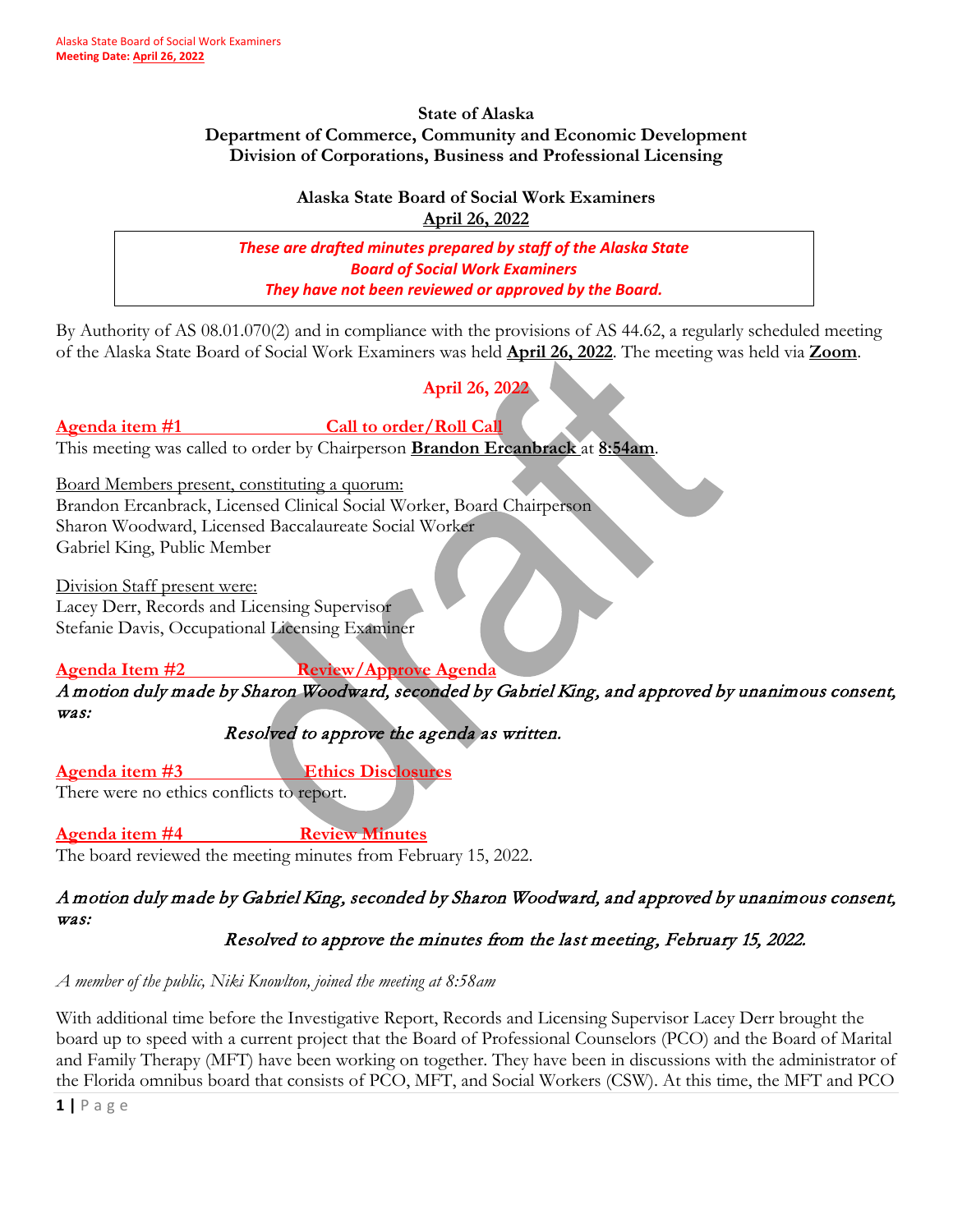#### **State of Alaska Department of Commerce, Community and Economic Development Division of Corporations, Business and Professional Licensing**

#### **Alaska State Board of Social Work Examiners April 26, 2022**

*These are drafted minutes prepared by staff of the Alaska State Board of Social Work Examiners They have not been reviewed or approved by the Board.*

By Authority of AS 08.01.070(2) and in compliance with the provisions of AS 44.62, a regularly scheduled meeting of the Alaska State Board of Social Work Examiners was held **April 26, 2022**. The meeting was held via **Zoom**.

# **April 26, 2022**

## Agenda item #1 Call to order/Roll Call

This meeting was called to order by Chairperson **Brandon Ercanbrack** at **8:54am**.

Board Members present, constituting a quorum:

Brandon Ercanbrack, Licensed Clinical Social Worker, Board Chairperson Sharon Woodward, Licensed Baccalaureate Social Worker Gabriel King, Public Member

Division Staff present were: Lacey Derr, Records and Licensing Supervisor

Stefanie Davis, Occupational Licensing Examiner

## **Agenda Item #2 Review/Approve Agenda**

A motion duly made by Sharon Woodward, seconded by Gabriel King, and approved by unanimous consent, was:

## Resolved to approve the agenda as written.

**Agenda item #3 Ethics Disclosures**

There were no ethics conflicts to report.

**Agenda item #4 Review Minutes**

The board reviewed the meeting minutes from February 15, 2022.

## A motion duly made by Gabriel King, seconded by Sharon Woodward, and approved by unanimous consent, was:

## Resolved to approve the minutes from the last meeting, February 15, 2022.

*A member of the public, Niki Knowlton, joined the meeting at 8:58am*

With additional time before the Investigative Report, Records and Licensing Supervisor Lacey Derr brought the board up to speed with a current project that the Board of Professional Counselors (PCO) and the Board of Marital and Family Therapy (MFT) have been working on together. They have been in discussions with the administrator of the Florida omnibus board that consists of PCO, MFT, and Social Workers (CSW). At this time, the MFT and PCO

**1 |** Page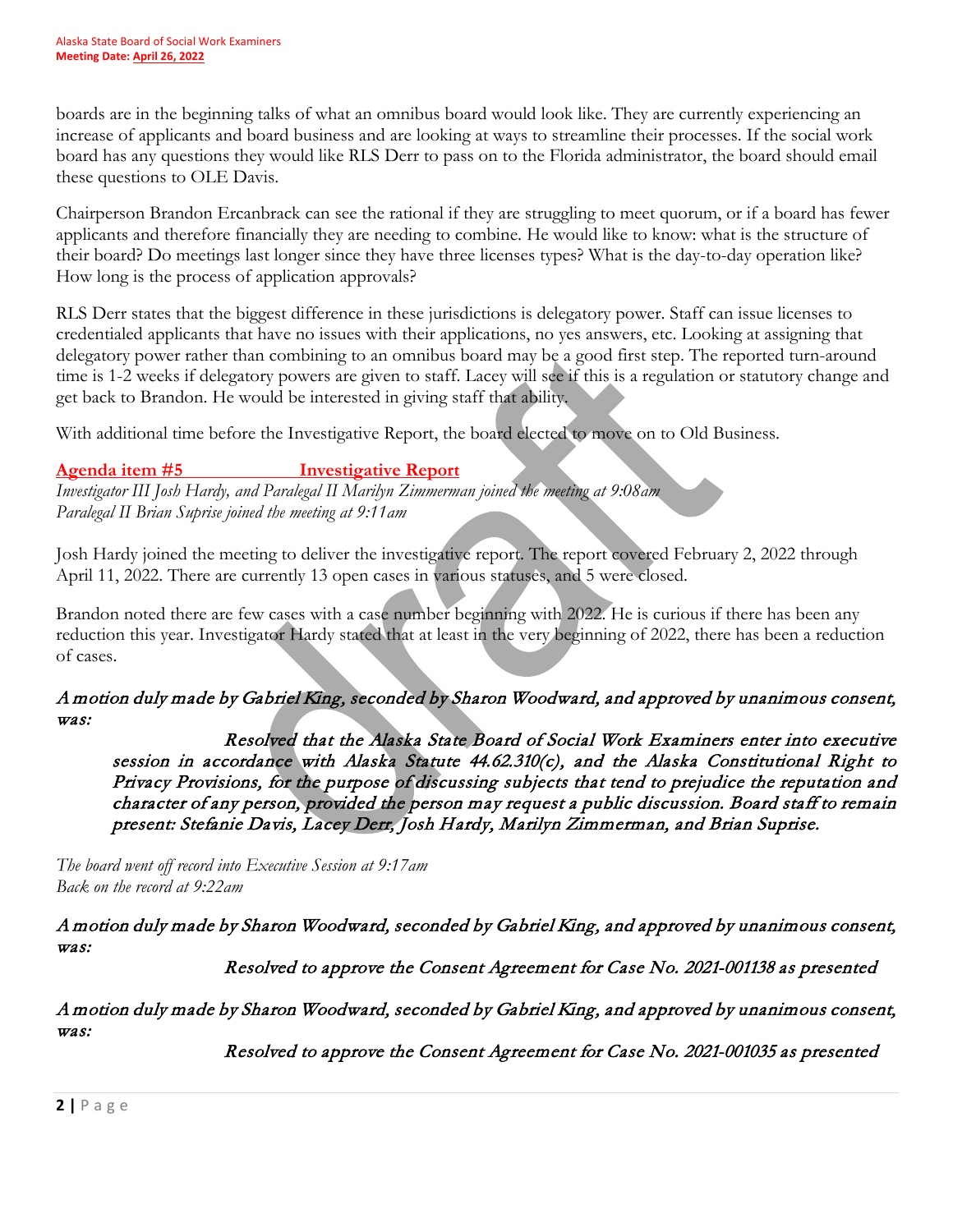boards are in the beginning talks of what an omnibus board would look like. They are currently experiencing an increase of applicants and board business and are looking at ways to streamline their processes. If the social work board has any questions they would like RLS Derr to pass on to the Florida administrator, the board should email these questions to OLE Davis.

Chairperson Brandon Ercanbrack can see the rational if they are struggling to meet quorum, or if a board has fewer applicants and therefore financially they are needing to combine. He would like to know: what is the structure of their board? Do meetings last longer since they have three licenses types? What is the day-to-day operation like? How long is the process of application approvals?

RLS Derr states that the biggest difference in these jurisdictions is delegatory power. Staff can issue licenses to credentialed applicants that have no issues with their applications, no yes answers, etc. Looking at assigning that delegatory power rather than combining to an omnibus board may be a good first step. The reported turn-around time is 1-2 weeks if delegatory powers are given to staff. Lacey will see if this is a regulation or statutory change and get back to Brandon. He would be interested in giving staff that ability.

With additional time before the Investigative Report, the board elected to move on to Old Business.

## **Agenda item #5 Investigative Report**

*Investigator III Josh Hardy, and Paralegal II Marilyn Zimmerman joined the meeting at 9:08am Paralegal II Brian Suprise joined the meeting at 9:11am*

Josh Hardy joined the meeting to deliver the investigative report. The report covered February 2, 2022 through April 11, 2022. There are currently 13 open cases in various statuses, and 5 were closed.

Brandon noted there are few cases with a case number beginning with 2022. He is curious if there has been any reduction this year. Investigator Hardy stated that at least in the very beginning of 2022, there has been a reduction of cases.

## A motion duly made by Gabriel King, seconded by Sharon Woodward, and approved by unanimous consent, was:

 Resolved that the Alaska State Board of Social Work Examiners enter into executive session in accordance with Alaska Statute 44.62.310(c), and the Alaska Constitutional Right to Privacy Provisions, for the purpose of discussing subjects that tend to prejudice the reputation and character of any person, provided the person may request a public discussion. Board staff to remain present: Stefanie Davis, Lacey Derr, Josh Hardy, Marilyn Zimmerman, and Brian Suprise.

*The board went off record into Executive Session at 9:17am Back on the record at 9:22am*

A motion duly made by Sharon Woodward, seconded by Gabriel King, and approved by unanimous consent, was:

Resolved to approve the Consent Agreement for Case No. 2021-001138 as presented

A motion duly made by Sharon Woodward, seconded by Gabriel King, and approved by unanimous consent, was:

Resolved to approve the Consent Agreement for Case No. 2021-001035 as presented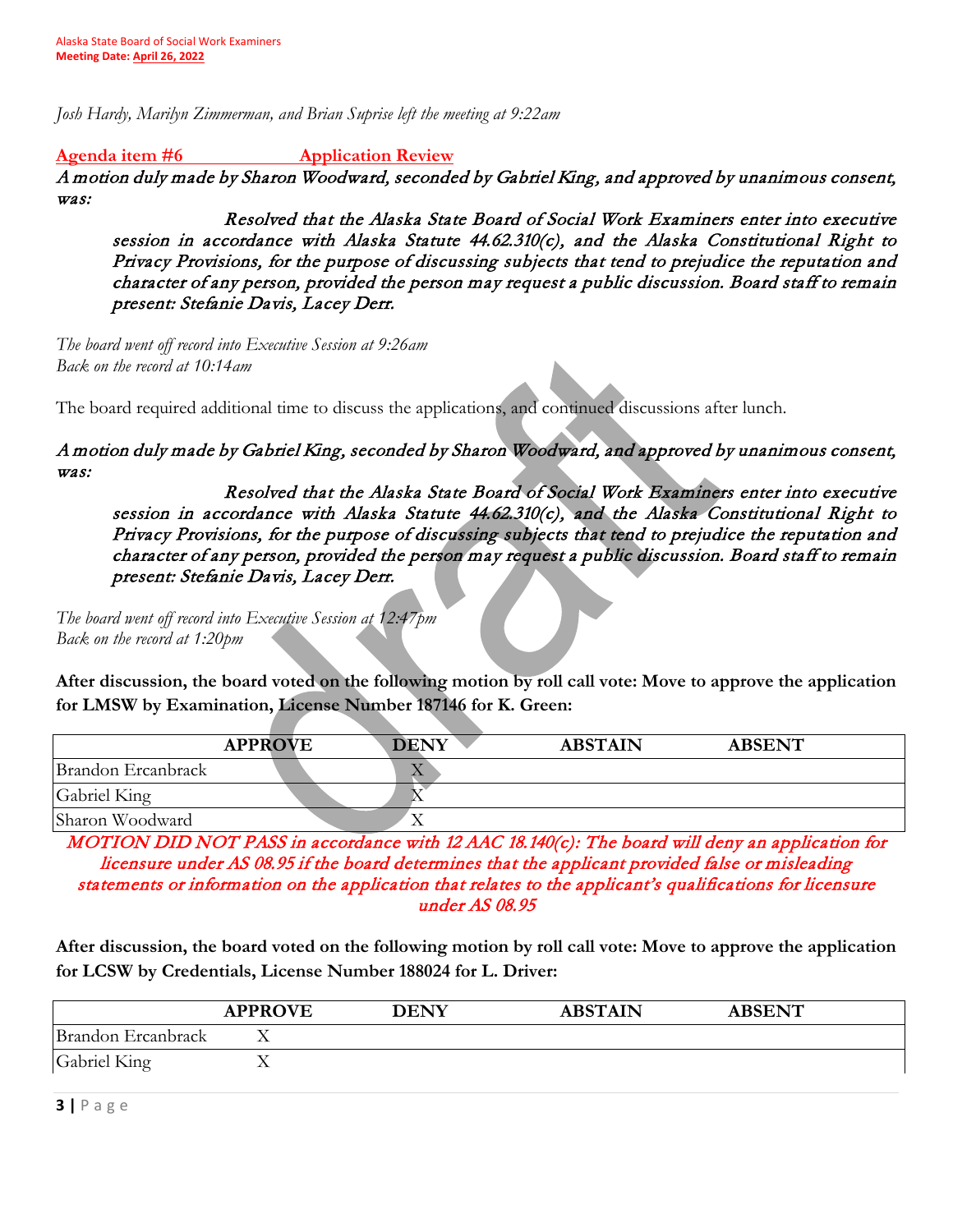*Josh Hardy, Marilyn Zimmerman, and Brian Suprise left the meeting at 9:22am*

**Agenda item #6 Application Review**

A motion duly made by Sharon Woodward, seconded by Gabriel King, and approved by unanimous consent, was:

 Resolved that the Alaska State Board of Social Work Examiners enter into executive session in accordance with Alaska Statute 44.62.310(c), and the Alaska Constitutional Right to Privacy Provisions, for the purpose of discussing subjects that tend to prejudice the reputation and character of any person, provided the person may request a public discussion. Board staff to remain present: Stefanie Davis, Lacey Derr.

*The board went off record into Executive Session at 9:26am Back on the record at 10:14am*

The board required additional time to discuss the applications, and continued discussions after lunch.

A motion duly made by Gabriel King, seconded by Sharon Woodward, and approved by unanimous consent, was:

 Resolved that the Alaska State Board of Social Work Examiners enter into executive session in accordance with Alaska Statute 44.62.310(c), and the Alaska Constitutional Right to Privacy Provisions, for the purpose of discussing subjects that tend to prejudice the reputation and character of any person, provided the person may request a public discussion. Board staff to remain present: Stefanie Davis, Lacey Derr.

*The board went off record into Executive Session at 12:47pm Back on the record at 1:20pm*

**After discussion, the board voted on the following motion by roll call vote: Move to approve the application for LMSW by Examination, License Number 187146 for K. Green:** 

|                    | <b>APPROVE</b> | <b>DENY</b> | <b>ABSTAIN</b> | <b>ABSENT</b> |  |
|--------------------|----------------|-------------|----------------|---------------|--|
| Brandon Ercanbrack |                | $\Delta$    |                |               |  |
| Gabriel King       |                |             |                |               |  |
| Sharon Woodward    |                | ∡⊾          |                |               |  |

MOTION DID NOT PASS in accordance with 12 AAC 18.140(c): The board will deny an application for licensure under AS 08.95 if the board determines that the applicant provided false or misleading statements or information on the application that relates to the applicant's qualifications for licensure under AS 08.95

**After discussion, the board voted on the following motion by roll call vote: Move to approve the application for LCSW by Credentials, License Number 188024 for L. Driver:** 

|                    | <b>APPROVE</b> | <b>DENY</b> | <b>ABSTAIN</b> | <b>ABSENT</b> |  |
|--------------------|----------------|-------------|----------------|---------------|--|
| Brandon Ercanbrack |                |             |                |               |  |
| Gabriel King       | △              |             |                |               |  |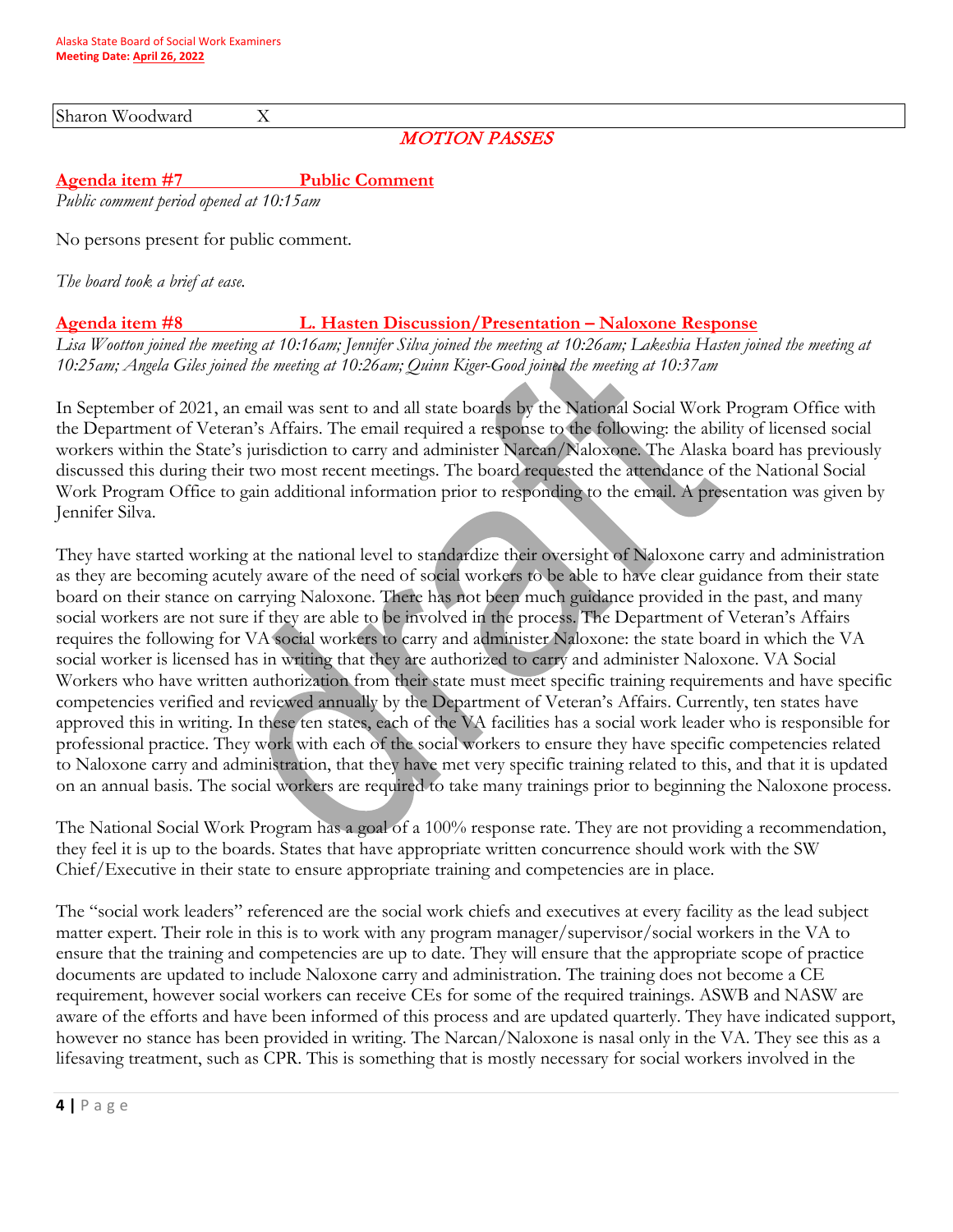Sharon Woodward X

#### MOTION PASSES

#### **Agenda item #7 Public Comment**

*Public comment period opened at 10:15am*

No persons present for public comment.

*The board took a brief at ease.*

#### **Agenda item #8 L. Hasten Discussion/Presentation – Naloxone Response**

*Lisa Wootton joined the meeting at 10:16am; Jennifer Silva joined the meeting at 10:26am; Lakeshia Hasten joined the meeting at 10:25am; Angela Giles joined the meeting at 10:26am; Quinn Kiger-Good joined the meeting at 10:37am*

In September of 2021, an email was sent to and all state boards by the National Social Work Program Office with the Department of Veteran's Affairs. The email required a response to the following: the ability of licensed social workers within the State's jurisdiction to carry and administer Narcan/Naloxone. The Alaska board has previously discussed this during their two most recent meetings. The board requested the attendance of the National Social Work Program Office to gain additional information prior to responding to the email. A presentation was given by Jennifer Silva.

They have started working at the national level to standardize their oversight of Naloxone carry and administration as they are becoming acutely aware of the need of social workers to be able to have clear guidance from their state board on their stance on carrying Naloxone. There has not been much guidance provided in the past, and many social workers are not sure if they are able to be involved in the process. The Department of Veteran's Affairs requires the following for VA social workers to carry and administer Naloxone: the state board in which the VA social worker is licensed has in writing that they are authorized to carry and administer Naloxone. VA Social Workers who have written authorization from their state must meet specific training requirements and have specific competencies verified and reviewed annually by the Department of Veteran's Affairs. Currently, ten states have approved this in writing. In these ten states, each of the VA facilities has a social work leader who is responsible for professional practice. They work with each of the social workers to ensure they have specific competencies related to Naloxone carry and administration, that they have met very specific training related to this, and that it is updated on an annual basis. The social workers are required to take many trainings prior to beginning the Naloxone process.

The National Social Work Program has a goal of a 100% response rate. They are not providing a recommendation, they feel it is up to the boards. States that have appropriate written concurrence should work with the SW Chief/Executive in their state to ensure appropriate training and competencies are in place.

The "social work leaders" referenced are the social work chiefs and executives at every facility as the lead subject matter expert. Their role in this is to work with any program manager/supervisor/social workers in the VA to ensure that the training and competencies are up to date. They will ensure that the appropriate scope of practice documents are updated to include Naloxone carry and administration. The training does not become a CE requirement, however social workers can receive CEs for some of the required trainings. ASWB and NASW are aware of the efforts and have been informed of this process and are updated quarterly. They have indicated support, however no stance has been provided in writing. The Narcan/Naloxone is nasal only in the VA. They see this as a lifesaving treatment, such as CPR. This is something that is mostly necessary for social workers involved in the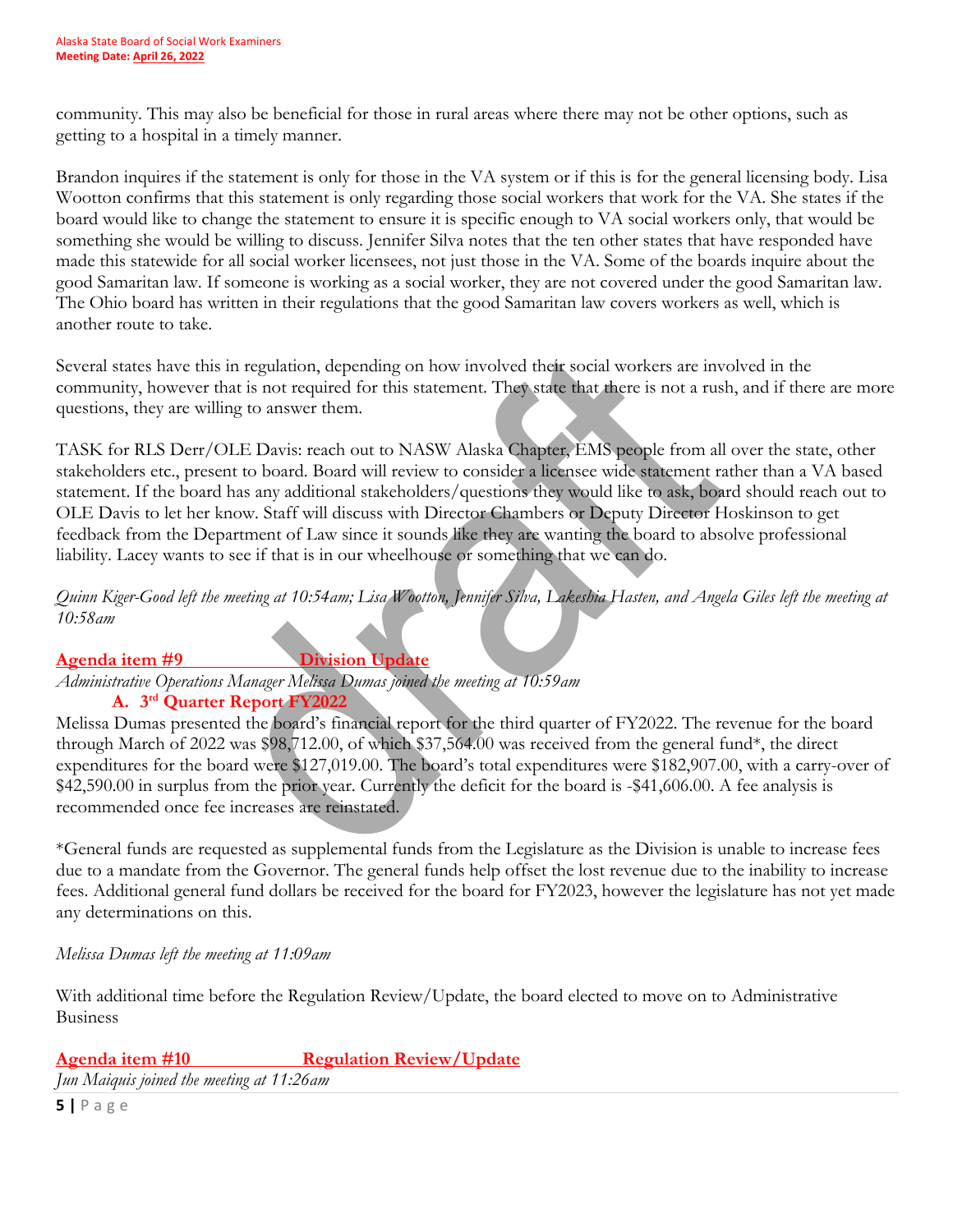community. This may also be beneficial for those in rural areas where there may not be other options, such as getting to a hospital in a timely manner.

Brandon inquires if the statement is only for those in the VA system or if this is for the general licensing body. Lisa Wootton confirms that this statement is only regarding those social workers that work for the VA. She states if the board would like to change the statement to ensure it is specific enough to VA social workers only, that would be something she would be willing to discuss. Jennifer Silva notes that the ten other states that have responded have made this statewide for all social worker licensees, not just those in the VA. Some of the boards inquire about the good Samaritan law. If someone is working as a social worker, they are not covered under the good Samaritan law. The Ohio board has written in their regulations that the good Samaritan law covers workers as well, which is another route to take.

Several states have this in regulation, depending on how involved their social workers are involved in the community, however that is not required for this statement. They state that there is not a rush, and if there are more questions, they are willing to answer them.

TASK for RLS Derr/OLE Davis: reach out to NASW Alaska Chapter, EMS people from all over the state, other stakeholders etc., present to board. Board will review to consider a licensee wide statement rather than a VA based statement. If the board has any additional stakeholders/questions they would like to ask, board should reach out to OLE Davis to let her know. Staff will discuss with Director Chambers or Deputy Director Hoskinson to get feedback from the Department of Law since it sounds like they are wanting the board to absolve professional liability. Lacey wants to see if that is in our wheelhouse or something that we can do.

*Quinn Kiger-Good left the meeting at 10:54am; Lisa Wootton, Jennifer Silva, Lakeshia Hasten, and Angela Giles left the meeting at 10:58am*

## **Agenda item #9 Division Update**

*Administrative Operations Manager Melissa Dumas joined the meeting at 10:59am*

#### **A. 3rd Quarter Report FY2022**

Melissa Dumas presented the board's financial report for the third quarter of FY2022. The revenue for the board through March of 2022 was \$98,712.00, of which \$37,564.00 was received from the general fund\*, the direct expenditures for the board were \$127,019.00. The board's total expenditures were \$182,907.00, with a carry-over of \$42,590.00 in surplus from the prior year. Currently the deficit for the board is -\$41,606.00. A fee analysis is recommended once fee increases are reinstated.

\*General funds are requested as supplemental funds from the Legislature as the Division is unable to increase fees due to a mandate from the Governor. The general funds help offset the lost revenue due to the inability to increase fees. Additional general fund dollars be received for the board for FY2023, however the legislature has not yet made any determinations on this.

*Melissa Dumas left the meeting at 11:09am*

With additional time before the Regulation Review/Update, the board elected to move on to Administrative Business

## **Agenda item #10 Regulation Review/Update**

*Jun Maiquis joined the meeting at 11:26am*

**5 |** Page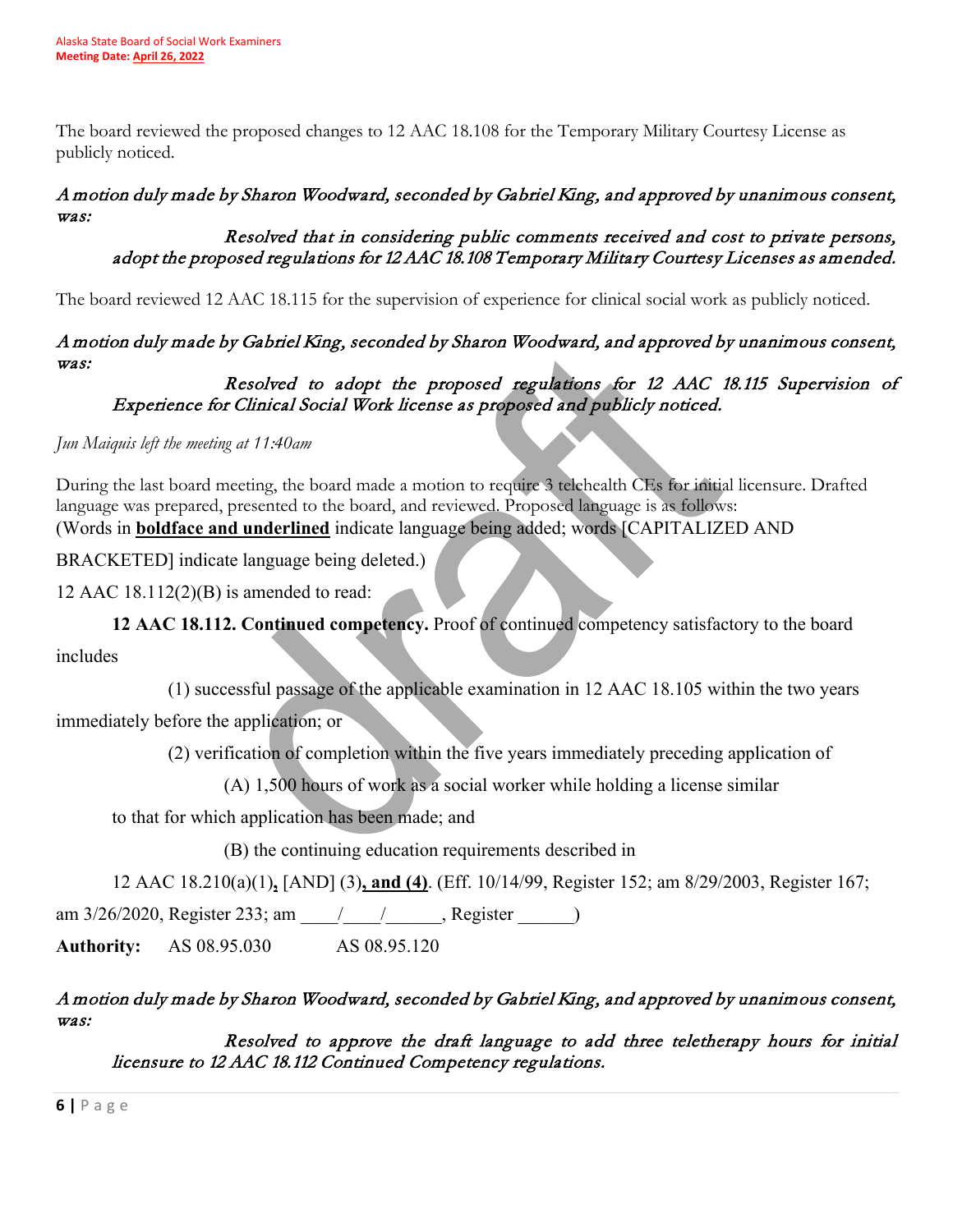The board reviewed the proposed changes to 12 AAC 18.108 for the Temporary Military Courtesy License as publicly noticed.

#### A motion duly made by Sharon Woodward, seconded by Gabriel King, and approved by unanimous consent, was:

#### Resolved that in considering public comments received and cost to private persons, adopt the proposed regulations for 12 AAC 18.108 Temporary Military Courtesy Licenses as amended.

The board reviewed 12 AAC 18.115 for the supervision of experience for clinical social work as publicly noticed.

## A motion duly made by Gabriel King, seconded by Sharon Woodward, and approved by unanimous consent, was:

## Resolved to adopt the proposed regulations for 12 AAC 18.115 Supervision of Experience for Clinical Social Work license as proposed and publicly noticed.

*Jun Maiquis left the meeting at 11:40am*

During the last board meeting, the board made a motion to require 3 telehealth CEs for initial licensure. Drafted language was prepared, presented to the board, and reviewed. Proposed language is as follows: (Words in **boldface and underlined** indicate language being added; words [CAPITALIZED AND

BRACKETED] indicate language being deleted.)

12 AAC 18.112(2)(B) is amended to read:

**12 AAC 18.112. Continued competency.** Proof of continued competency satisfactory to the board

includes

 (1) successful passage of the applicable examination in 12 AAC 18.105 within the two years immediately before the application; or

(2) verification of completion within the five years immediately preceding application of

(A) 1,500 hours of work as a social worker while holding a license similar

to that for which application has been made; and

(B) the continuing education requirements described in

12 AAC 18.210(a)(1)**,** [AND] (3)**, and (4)**. (Eff. 10/14/99, Register 152; am 8/29/2003, Register 167;

am 3/26/2020, Register 233; am \_\_\_\_/\_\_\_\_\_/\_\_\_\_\_, Register \_\_\_\_\_\_\_)

**Authority:** AS 08.95.030 AS 08.95.120

## A motion duly made by Sharon Woodward, seconded by Gabriel King, and approved by unanimous consent, was:

 Resolved to approve the draft language to add three teletherapy hours for initial licensure to 12 AAC 18.112 Continued Competency regulations.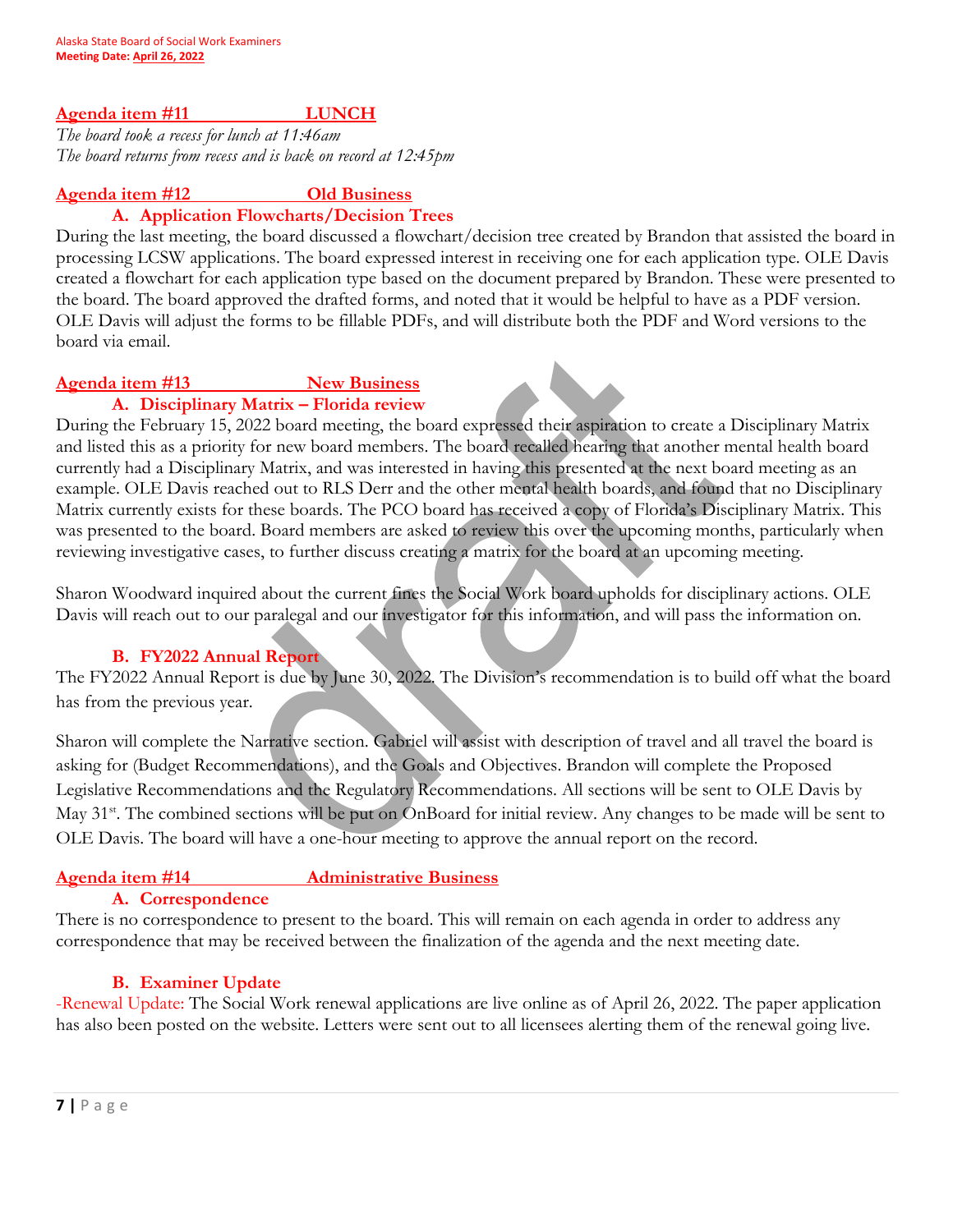#### Agenda item #11 LUNCH

*The board took a recess for lunch at 11:46am The board returns from recess and is back on record at 12:45pm*

#### **Agenda item #12 Old Business**

#### **A. Application Flowcharts/Decision Trees**

During the last meeting, the board discussed a flowchart/decision tree created by Brandon that assisted the board in processing LCSW applications. The board expressed interest in receiving one for each application type. OLE Davis created a flowchart for each application type based on the document prepared by Brandon. These were presented to the board. The board approved the drafted forms, and noted that it would be helpful to have as a PDF version. OLE Davis will adjust the forms to be fillable PDFs, and will distribute both the PDF and Word versions to the board via email.

## **Agenda item #13 New Business**

**A. Disciplinary Matrix – Florida review** During the February 15, 2022 board meeting, the board expressed their aspiration to create a Disciplinary Matrix and listed this as a priority for new board members. The board recalled hearing that another mental health board

currently had a Disciplinary Matrix, and was interested in having this presented at the next board meeting as an example. OLE Davis reached out to RLS Derr and the other mental health boards, and found that no Disciplinary Matrix currently exists for these boards. The PCO board has received a copy of Florida's Disciplinary Matrix. This was presented to the board. Board members are asked to review this over the upcoming months, particularly when reviewing investigative cases, to further discuss creating a matrix for the board at an upcoming meeting.

Sharon Woodward inquired about the current fines the Social Work board upholds for disciplinary actions. OLE Davis will reach out to our paralegal and our investigator for this information, and will pass the information on.

#### **B. FY2022 Annual Report**

The FY2022 Annual Report is due by June 30, 2022. The Division's recommendation is to build off what the board has from the previous year.

Sharon will complete the Narrative section. Gabriel will assist with description of travel and all travel the board is asking for (Budget Recommendations), and the Goals and Objectives. Brandon will complete the Proposed Legislative Recommendations and the Regulatory Recommendations. All sections will be sent to OLE Davis by May 31<sup>st</sup>. The combined sections will be put on OnBoard for initial review. Any changes to be made will be sent to OLE Davis. The board will have a one-hour meeting to approve the annual report on the record.

## **Agenda item #14 Administrative Business**

#### **A. Correspondence**

There is no correspondence to present to the board. This will remain on each agenda in order to address any correspondence that may be received between the finalization of the agenda and the next meeting date.

#### **B. Examiner Update**

-Renewal Update: The Social Work renewal applications are live online as of April 26, 2022. The paper application has also been posted on the website. Letters were sent out to all licensees alerting them of the renewal going live.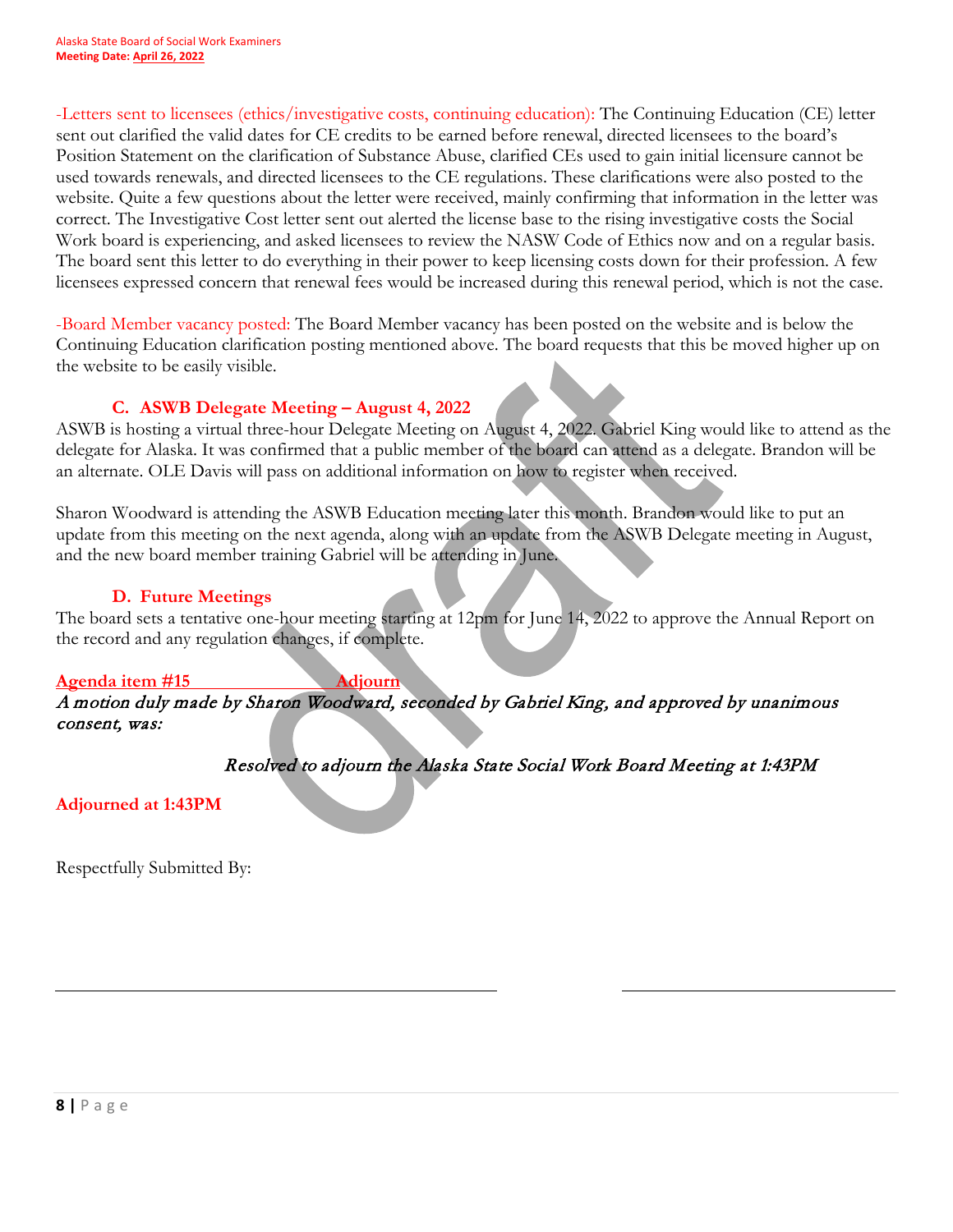-Letters sent to licensees (ethics/investigative costs, continuing education): The Continuing Education (CE) letter sent out clarified the valid dates for CE credits to be earned before renewal, directed licensees to the board's Position Statement on the clarification of Substance Abuse, clarified CEs used to gain initial licensure cannot be used towards renewals, and directed licensees to the CE regulations. These clarifications were also posted to the website. Quite a few questions about the letter were received, mainly confirming that information in the letter was correct. The Investigative Cost letter sent out alerted the license base to the rising investigative costs the Social Work board is experiencing, and asked licensees to review the NASW Code of Ethics now and on a regular basis. The board sent this letter to do everything in their power to keep licensing costs down for their profession. A few licensees expressed concern that renewal fees would be increased during this renewal period, which is not the case.

-Board Member vacancy posted: The Board Member vacancy has been posted on the website and is below the Continuing Education clarification posting mentioned above. The board requests that this be moved higher up on the website to be easily visible.

#### **C. ASWB Delegate Meeting – August 4, 2022**

ASWB is hosting a virtual three-hour Delegate Meeting on August 4, 2022. Gabriel King would like to attend as the delegate for Alaska. It was confirmed that a public member of the board can attend as a delegate. Brandon will be an alternate. OLE Davis will pass on additional information on how to register when received.

Sharon Woodward is attending the ASWB Education meeting later this month. Brandon would like to put an update from this meeting on the next agenda, along with an update from the ASWB Delegate meeting in August, and the new board member training Gabriel will be attending in June.

#### **D. Future Meetings**

The board sets a tentative one-hour meeting starting at 12pm for June 14, 2022 to approve the Annual Report on the record and any regulation changes, if complete.

#### **Agenda item #15 Adjourn**

A motion duly made by Sharon Woodward, seconded by Gabriel King, and approved by unanimous consent, was:

Resolved to adjourn the Alaska State Social Work Board Meeting at 1:43PM

**Adjourned at 1:43PM** 

Respectfully Submitted By: